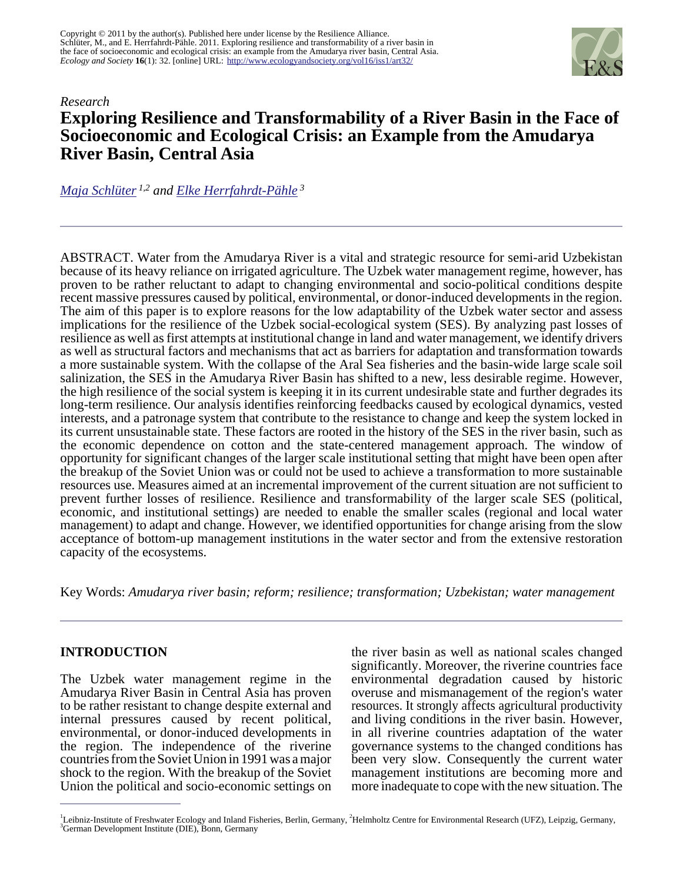

# *Research* **Exploring Resilience and Transformability of a River Basin in the Face of Socioeconomic and Ecological Crisis: an Example from the Amudarya River Basin, Central Asia**

*[Maja Schlüter](mailto:maja.schlueter@ufz.de) 1,2 and [Elke Herrfahrdt-Pähle](mailto:Elke.Herrfahrdt@die-gdi.de)<sup>3</sup>*

ABSTRACT. Water from the Amudarya River is a vital and strategic resource for semi-arid Uzbekistan because of its heavy reliance on irrigated agriculture. The Uzbek water management regime, however, has proven to be rather reluctant to adapt to changing environmental and socio-political conditions despite recent massive pressures caused by political, environmental, or donor-induced developments in the region. The aim of this paper is to explore reasons for the low adaptability of the Uzbek water sector and assess implications for the resilience of the Uzbek social-ecological system (SES). By analyzing past losses of resilience as well as first attempts at institutional change in land and water management, we identify drivers as well as structural factors and mechanisms that act as barriers for adaptation and transformation towards a more sustainable system. With the collapse of the Aral Sea fisheries and the basin-wide large scale soil salinization, the SES in the Amudarya River Basin has shifted to a new, less desirable regime. However, the high resilience of the social system is keeping it in its current undesirable state and further degrades its long-term resilience. Our analysis identifies reinforcing feedbacks caused by ecological dynamics, vested interests, and a patronage system that contribute to the resistance to change and keep the system locked in its current unsustainable state. These factors are rooted in the history of the SES in the river basin, such as the economic dependence on cotton and the state-centered management approach. The window of opportunity for significant changes of the larger scale institutional setting that might have been open after the breakup of the Soviet Union was or could not be used to achieve a transformation to more sustainable resources use. Measures aimed at an incremental improvement of the current situation are not sufficient to prevent further losses of resilience. Resilience and transformability of the larger scale SES (political, economic, and institutional settings) are needed to enable the smaller scales (regional and local water management) to adapt and change. However, we identified opportunities for change arising from the slow acceptance of bottom-up management institutions in the water sector and from the extensive restoration capacity of the ecosystems.

Key Words: *Amudarya river basin; reform; resilience; transformation; Uzbekistan; water management*

### **INTRODUCTION**

The Uzbek water management regime in the Amudarya River Basin in Central Asia has proven to be rather resistant to change despite external and internal pressures caused by recent political, environmental, or donor-induced developments in the region. The independence of the riverine countries from the Soviet Union in 1991 was a major shock to the region. With the breakup of the Soviet Union the political and socio-economic settings on

the river basin as well as national scales changed significantly. Moreover, the riverine countries face environmental degradation caused by historic overuse and mismanagement of the region's water resources. It strongly affects agricultural productivity and living conditions in the river basin. However, in all riverine countries adaptation of the water governance systems to the changed conditions has been very slow. Consequently the current water management institutions are becoming more and more inadequate to cope with the new situation. The

<sup>&</sup>lt;sup>1</sup>Leibniz-Institute of Freshwater Ecology and Inland Fisheries, Berlin, Germany, <sup>2</sup>Helmholtz Centre for Environmental Research (UFZ), Leipzig, Germany, <sup>3</sup>German Development Institute (DIE), Bonn, Germany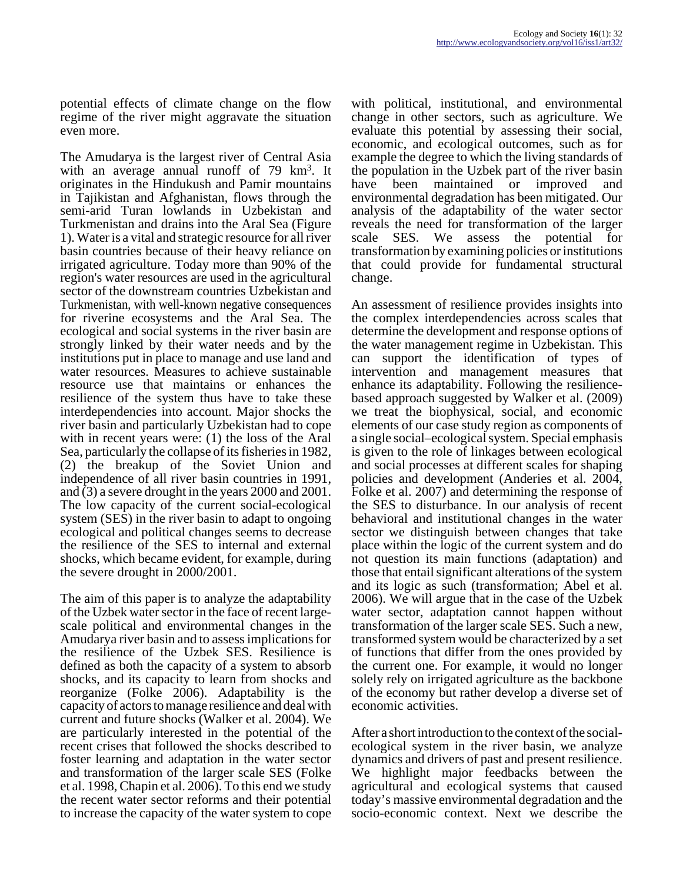potential effects of climate change on the flow regime of the river might aggravate the situation even more.

The Amudarya is the largest river of Central Asia with an average annual runoff of 79 km<sup>3</sup>. It originates in the Hindukush and Pamir mountains in Tajikistan and Afghanistan, flows through the semi-arid Turan lowlands in Uzbekistan and Turkmenistan and drains into the Aral Sea (Figure 1). Water is a vital and strategic resource for all river basin countries because of their heavy reliance on irrigated agriculture. Today more than 90% of the region's water resources are used in the agricultural sector of the downstream countries Uzbekistan and Turkmenistan, with well-known negative consequences for riverine ecosystems and the Aral Sea. The ecological and social systems in the river basin are strongly linked by their water needs and by the institutions put in place to manage and use land and water resources. Measures to achieve sustainable resource use that maintains or enhances the resilience of the system thus have to take these interdependencies into account. Major shocks the river basin and particularly Uzbekistan had to cope with in recent years were: (1) the loss of the Aral Sea, particularly the collapse of its fisheries in 1982, (2) the breakup of the Soviet Union and independence of all river basin countries in 1991, and (3) a severe drought in the years 2000 and 2001. The low capacity of the current social-ecological system (SES) in the river basin to adapt to ongoing ecological and political changes seems to decrease the resilience of the SES to internal and external shocks, which became evident, for example, during the severe drought in 2000/2001.

The aim of this paper is to analyze the adaptability of the Uzbek water sector in the face of recent largescale political and environmental changes in the Amudarya river basin and to assess implications for the resilience of the Uzbek SES. Resilience is defined as both the capacity of a system to absorb shocks, and its capacity to learn from shocks and reorganize (Folke 2006). Adaptability is the capacity of actors to manage resilience and deal with current and future shocks (Walker et al. 2004). We are particularly interested in the potential of the recent crises that followed the shocks described to foster learning and adaptation in the water sector and transformation of the larger scale SES (Folke et al. 1998, Chapin et al. 2006). To this end we study the recent water sector reforms and their potential to increase the capacity of the water system to cope

with political, institutional, and environmental change in other sectors, such as agriculture. We evaluate this potential by assessing their social, economic, and ecological outcomes, such as for example the degree to which the living standards of the population in the Uzbek part of the river basin have been maintained or improved and environmental degradation has been mitigated. Our analysis of the adaptability of the water sector reveals the need for transformation of the larger scale SES. We assess the potential for transformation by examining policies or institutions that could provide for fundamental structural change.

An assessment of resilience provides insights into the complex interdependencies across scales that determine the development and response options of the water management regime in Uzbekistan. This can support the identification of types of intervention and management measures that enhance its adaptability. Following the resiliencebased approach suggested by Walker et al. (2009) we treat the biophysical, social, and economic elements of our case study region as components of a single social–ecological system. Special emphasis is given to the role of linkages between ecological and social processes at different scales for shaping policies and development (Anderies et al. 2004, Folke et al. 2007) and determining the response of the SES to disturbance. In our analysis of recent behavioral and institutional changes in the water sector we distinguish between changes that take place within the logic of the current system and do not question its main functions (adaptation) and those that entail significant alterations of the system and its logic as such (transformation; Abel et al. 2006). We will argue that in the case of the Uzbek water sector, adaptation cannot happen without transformation of the larger scale SES. Such a new, transformed system would be characterized by a set of functions that differ from the ones provided by the current one. For example, it would no longer solely rely on irrigated agriculture as the backbone of the economy but rather develop a diverse set of economic activities.

After a short introduction to the context of the socialecological system in the river basin, we analyze dynamics and drivers of past and present resilience. We highlight major feedbacks between the agricultural and ecological systems that caused today's massive environmental degradation and the socio-economic context. Next we describe the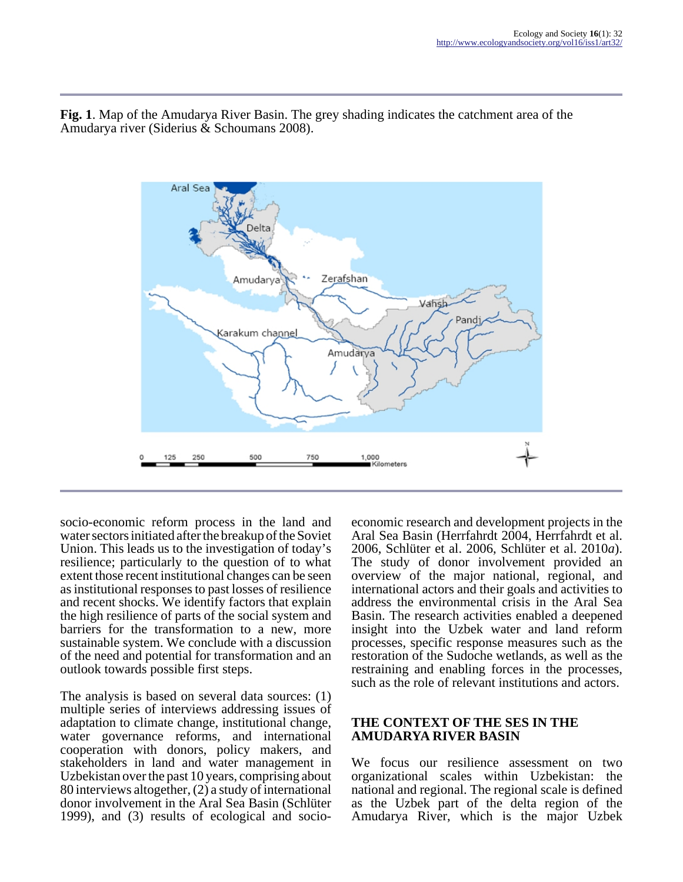

**Fig. 1**. Map of the Amudarya River Basin. The grey shading indicates the catchment area of the Amudarya river (Siderius & Schoumans 2008).

socio-economic reform process in the land and water sectors initiated after the breakup of the Soviet Union. This leads us to the investigation of today's resilience; particularly to the question of to what extent those recent institutional changes can be seen as institutional responses to past losses of resilience and recent shocks. We identify factors that explain the high resilience of parts of the social system and barriers for the transformation to a new, more sustainable system. We conclude with a discussion of the need and potential for transformation and an outlook towards possible first steps.

The analysis is based on several data sources: (1) multiple series of interviews addressing issues of adaptation to climate change, institutional change, water governance reforms, and international cooperation with donors, policy makers, and stakeholders in land and water management in Uzbekistan over the past 10 years, comprising about 80 interviews altogether, (2) a study of international donor involvement in the Aral Sea Basin (Schlüter 1999), and (3) results of ecological and socioeconomic research and development projects in the Aral Sea Basin (Herrfahrdt 2004, Herrfahrdt et al. 2006, Schlüter et al. 2006, Schlüter et al. 2010*a*). The study of donor involvement provided an overview of the major national, regional, and international actors and their goals and activities to address the environmental crisis in the Aral Sea Basin. The research activities enabled a deepened insight into the Uzbek water and land reform processes, specific response measures such as the restoration of the Sudoche wetlands, as well as the restraining and enabling forces in the processes, such as the role of relevant institutions and actors.

### **THE CONTEXT OF THE SES IN THE AMUDARYA RIVER BASIN**

We focus our resilience assessment on two organizational scales within Uzbekistan: the national and regional. The regional scale is defined as the Uzbek part of the delta region of the Amudarya River, which is the major Uzbek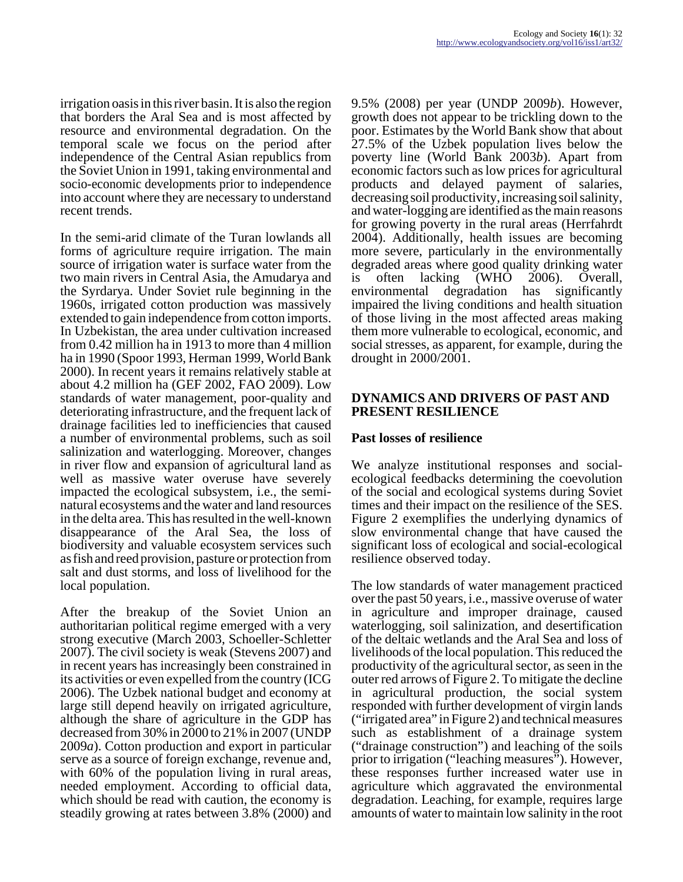irrigation oasis in this river basin. It is also the region that borders the Aral Sea and is most affected by resource and environmental degradation. On the temporal scale we focus on the period after independence of the Central Asian republics from the Soviet Union in 1991, taking environmental and socio-economic developments prior to independence into account where they are necessary to understand recent trends.

In the semi-arid climate of the Turan lowlands all forms of agriculture require irrigation. The main source of irrigation water is surface water from the two main rivers in Central Asia, the Amudarya and the Syrdarya. Under Soviet rule beginning in the 1960s, irrigated cotton production was massively extended to gain independence from cotton imports. In Uzbekistan, the area under cultivation increased from 0.42 million ha in 1913 to more than 4 million ha in 1990 (Spoor 1993, Herman 1999, World Bank 2000). In recent years it remains relatively stable at about 4.2 million ha (GEF 2002, FAO 2009). Low standards of water management, poor-quality and deteriorating infrastructure, and the frequent lack of drainage facilities led to inefficiencies that caused a number of environmental problems, such as soil salinization and waterlogging. Moreover, changes in river flow and expansion of agricultural land as well as massive water overuse have severely impacted the ecological subsystem, i.e., the seminatural ecosystems and the water and land resources in the delta area. This has resulted in the well-known disappearance of the Aral Sea, the loss of biodiversity and valuable ecosystem services such as fish and reed provision, pasture or protection from salt and dust storms, and loss of livelihood for the local population.

After the breakup of the Soviet Union an authoritarian political regime emerged with a very strong executive (March 2003, Schoeller-Schletter 2007). The civil society is weak (Stevens 2007) and in recent years has increasingly been constrained in its activities or even expelled from the country (ICG 2006). The Uzbek national budget and economy at large still depend heavily on irrigated agriculture, although the share of agriculture in the GDP has decreased from 30% in 2000 to 21% in 2007 (UNDP 2009*a*). Cotton production and export in particular serve as a source of foreign exchange, revenue and, with 60% of the population living in rural areas, needed employment. According to official data, which should be read with caution, the economy is steadily growing at rates between 3.8% (2000) and

9.5% (2008) per year (UNDP 2009*b*). However, growth does not appear to be trickling down to the poor. Estimates by the World Bank show that about 27.5% of the Uzbek population lives below the poverty line (World Bank 2003*b*). Apart from economic factors such as low prices for agricultural products and delayed payment of salaries, decreasing soil productivity, increasing soil salinity, and water-logging are identified as the main reasons for growing poverty in the rural areas (Herrfahrdt 2004). Additionally, health issues are becoming more severe, particularly in the environmentally degraded areas where good quality drinking water is often lacking (WHO 2006). Overall,<br>environmental degradation has significantly degradation has significantly impaired the living conditions and health situation of those living in the most affected areas making them more vulnerable to ecological, economic, and social stresses, as apparent, for example, during the drought in 2000/2001.

#### **DYNAMICS AND DRIVERS OF PAST AND PRESENT RESILIENCE**

### **Past losses of resilience**

We analyze institutional responses and socialecological feedbacks determining the coevolution of the social and ecological systems during Soviet times and their impact on the resilience of the SES. Figure 2 exemplifies the underlying dynamics of slow environmental change that have caused the significant loss of ecological and social-ecological resilience observed today.

The low standards of water management practiced over the past 50 years, i.e., massive overuse of water in agriculture and improper drainage, caused waterlogging, soil salinization, and desertification of the deltaic wetlands and the Aral Sea and loss of livelihoods of the local population. This reduced the productivity of the agricultural sector, as seen in the outer red arrows of Figure 2. To mitigate the decline in agricultural production, the social system responded with further development of virgin lands ("irrigated area" in Figure 2) and technical measures such as establishment of a drainage system ("drainage construction") and leaching of the soils prior to irrigation ("leaching measures"). However, these responses further increased water use in agriculture which aggravated the environmental degradation. Leaching, for example, requires large amounts of water to maintain low salinity in the root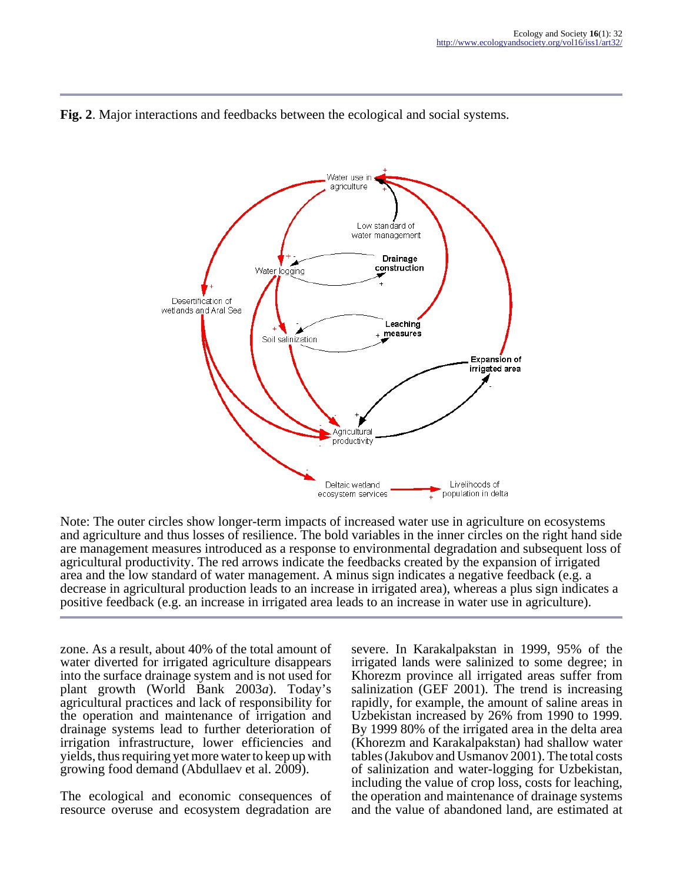

**Fig. 2**. Major interactions and feedbacks between the ecological and social systems.

Note: The outer circles show longer-term impacts of increased water use in agriculture on ecosystems and agriculture and thus losses of resilience. The bold variables in the inner circles on the right hand side are management measures introduced as a response to environmental degradation and subsequent loss of agricultural productivity. The red arrows indicate the feedbacks created by the expansion of irrigated area and the low standard of water management. A minus sign indicates a negative feedback (e.g. a decrease in agricultural production leads to an increase in irrigated area), whereas a plus sign indicates a positive feedback (e.g. an increase in irrigated area leads to an increase in water use in agriculture).

zone. As a result, about 40% of the total amount of water diverted for irrigated agriculture disappears into the surface drainage system and is not used for plant growth (World Bank 2003*a*). Today's agricultural practices and lack of responsibility for the operation and maintenance of irrigation and drainage systems lead to further deterioration of irrigation infrastructure, lower efficiencies and yields, thus requiring yet more water to keep up with growing food demand (Abdullaev et al. 2009).

The ecological and economic consequences of resource overuse and ecosystem degradation are

severe. In Karakalpakstan in 1999, 95% of the irrigated lands were salinized to some degree; in Khorezm province all irrigated areas suffer from salinization (GEF 2001). The trend is increasing rapidly, for example, the amount of saline areas in Uzbekistan increased by 26% from 1990 to 1999. By 1999 80% of the irrigated area in the delta area (Khorezm and Karakalpakstan) had shallow water tables (Jakubov and Usmanov 2001). The total costs of salinization and water-logging for Uzbekistan, including the value of crop loss, costs for leaching, the operation and maintenance of drainage systems and the value of abandoned land, are estimated at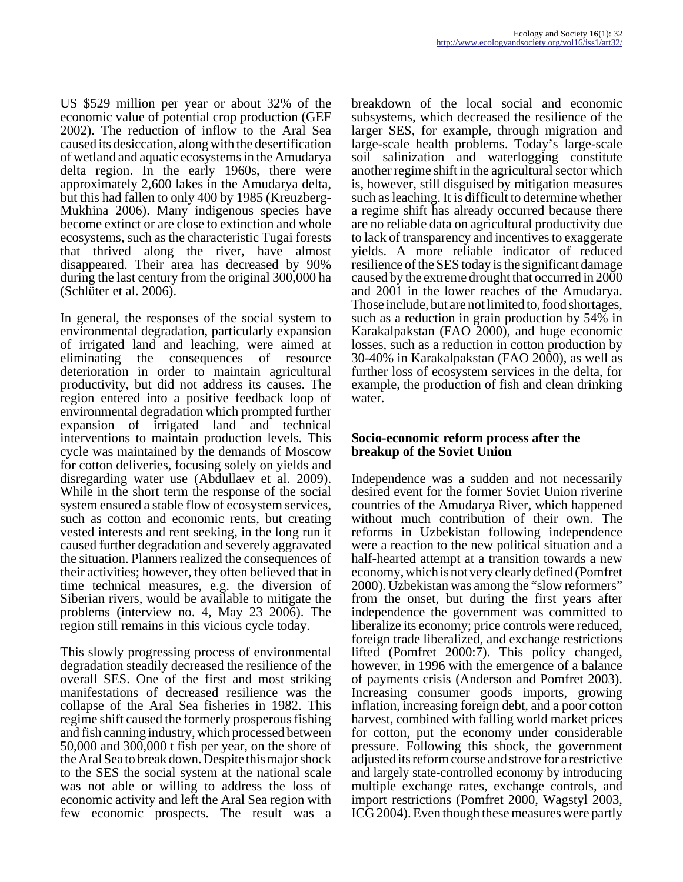US \$529 million per year or about 32% of the economic value of potential crop production (GEF 2002). The reduction of inflow to the Aral Sea caused its desiccation, along with the desertification of wetland and aquatic ecosystems in the Amudarya delta region. In the early 1960s, there were approximately 2,600 lakes in the Amudarya delta, but this had fallen to only 400 by 1985 (Kreuzberg-Mukhina 2006). Many indigenous species have become extinct or are close to extinction and whole ecosystems, such as the characteristic Tugai forests that thrived along the river, have almost disappeared. Their area has decreased by 90% during the last century from the original 300,000 ha (Schlüter et al. 2006).

In general, the responses of the social system to environmental degradation, particularly expansion of irrigated land and leaching, were aimed at eliminating the consequences of resource deterioration in order to maintain agricultural productivity, but did not address its causes. The region entered into a positive feedback loop of environmental degradation which prompted further expansion of irrigated land and technical interventions to maintain production levels. This cycle was maintained by the demands of Moscow for cotton deliveries, focusing solely on yields and disregarding water use (Abdullaev et al. 2009). While in the short term the response of the social system ensured a stable flow of ecosystem services, such as cotton and economic rents, but creating vested interests and rent seeking, in the long run it caused further degradation and severely aggravated the situation. Planners realized the consequences of their activities; however, they often believed that in time technical measures, e.g. the diversion of Siberian rivers, would be available to mitigate the problems (interview no. 4, May 23 2006). The region still remains in this vicious cycle today.

This slowly progressing process of environmental degradation steadily decreased the resilience of the overall SES. One of the first and most striking manifestations of decreased resilience was the collapse of the Aral Sea fisheries in 1982. This regime shift caused the formerly prosperous fishing and fish canning industry, which processed between 50,000 and 300,000 t fish per year, on the shore of the Aral Sea to break down. Despite this major shock to the SES the social system at the national scale was not able or willing to address the loss of economic activity and left the Aral Sea region with few economic prospects. The result was a

breakdown of the local social and economic subsystems, which decreased the resilience of the larger SES, for example, through migration and large-scale health problems. Today's large-scale soil salinization and waterlogging constitute another regime shift in the agricultural sector which is, however, still disguised by mitigation measures such as leaching. It is difficult to determine whether a regime shift has already occurred because there are no reliable data on agricultural productivity due to lack of transparency and incentives to exaggerate yields. A more reliable indicator of reduced resilience of the SES today is the significant damage caused by the extreme drought that occurred in 2000 and 2001 in the lower reaches of the Amudarya. Those include, but are not limited to, food shortages, such as a reduction in grain production by 54% in Karakalpakstan (FAO 2000), and huge economic losses, such as a reduction in cotton production by 30-40% in Karakalpakstan (FAO 2000), as well as further loss of ecosystem services in the delta, for example, the production of fish and clean drinking water.

#### **Socio-economic reform process after the breakup of the Soviet Union**

Independence was a sudden and not necessarily desired event for the former Soviet Union riverine countries of the Amudarya River, which happened without much contribution of their own. The reforms in Uzbekistan following independence were a reaction to the new political situation and a half-hearted attempt at a transition towards a new economy, which is not very clearly defined (Pomfret 2000). Uzbekistan was among the "slow reformers" from the onset, but during the first years after independence the government was committed to liberalize its economy; price controls were reduced, foreign trade liberalized, and exchange restrictions lifted (Pomfret 2000:7). This policy changed, however, in 1996 with the emergence of a balance of payments crisis (Anderson and Pomfret 2003). Increasing consumer goods imports, growing inflation, increasing foreign debt, and a poor cotton harvest, combined with falling world market prices for cotton, put the economy under considerable pressure. Following this shock, the government adjusted its reform course and strove for a restrictive and largely state-controlled economy by introducing multiple exchange rates, exchange controls, and import restrictions (Pomfret 2000, Wagstyl 2003, ICG 2004). Even though these measures were partly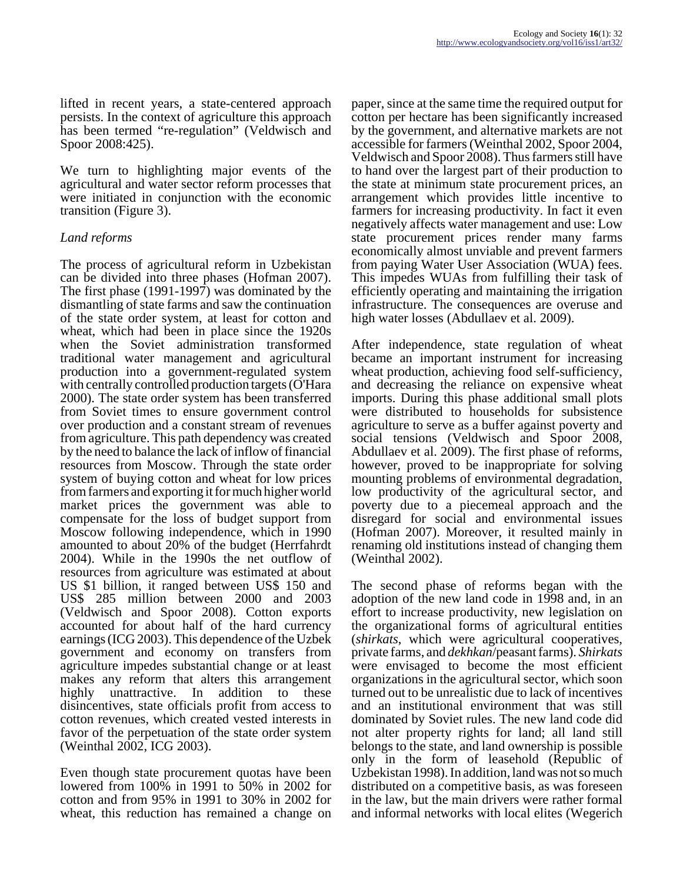lifted in recent years, a state-centered approach persists. In the context of agriculture this approach has been termed "re-regulation" (Veldwisch and Spoor 2008:425).

We turn to highlighting major events of the agricultural and water sector reform processes that were initiated in conjunction with the economic transition (Figure 3).

## *Land reforms*

The process of agricultural reform in Uzbekistan can be divided into three phases (Hofman 2007). The first phase (1991-1997) was dominated by the dismantling of state farms and saw the continuation of the state order system, at least for cotton and wheat, which had been in place since the 1920s when the Soviet administration transformed traditional water management and agricultural production into a government-regulated system with centrally controlled production targets (O'Hara 2000). The state order system has been transferred from Soviet times to ensure government control over production and a constant stream of revenues from agriculture. This path dependency was created by the need to balance the lack of inflow of financial resources from Moscow. Through the state order system of buying cotton and wheat for low prices from farmers and exporting it for much higher world market prices the government was able to compensate for the loss of budget support from Moscow following independence, which in 1990 amounted to about 20% of the budget (Herrfahrdt 2004). While in the 1990s the net outflow of resources from agriculture was estimated at about US \$1 billion, it ranged between US\$ 150 and US\$ 285 million between 2000 and 2003 (Veldwisch and Spoor 2008). Cotton exports accounted for about half of the hard currency earnings (ICG 2003). This dependence of the Uzbek government and economy on transfers from agriculture impedes substantial change or at least makes any reform that alters this arrangement highly unattractive. In addition to these disincentives, state officials profit from access to cotton revenues, which created vested interests in favor of the perpetuation of the state order system (Weinthal 2002, ICG 2003).

Even though state procurement quotas have been lowered from 100% in 1991 to 50% in 2002 for cotton and from 95% in 1991 to 30% in 2002 for wheat, this reduction has remained a change on

paper, since at the same time the required output for cotton per hectare has been significantly increased by the government, and alternative markets are not accessible for farmers (Weinthal 2002, Spoor 2004, Veldwisch and Spoor 2008). Thus farmers still have to hand over the largest part of their production to the state at minimum state procurement prices, an arrangement which provides little incentive to farmers for increasing productivity. In fact it even negatively affects water management and use: Low state procurement prices render many farms economically almost unviable and prevent farmers from paying Water User Association (WUA) fees. This impedes WUAs from fulfilling their task of efficiently operating and maintaining the irrigation infrastructure. The consequences are overuse and high water losses (Abdullaev et al. 2009).

After independence, state regulation of wheat became an important instrument for increasing wheat production, achieving food self-sufficiency, and decreasing the reliance on expensive wheat imports. During this phase additional small plots were distributed to households for subsistence agriculture to serve as a buffer against poverty and social tensions (Veldwisch and Spoor 2008, Abdullaev et al. 2009). The first phase of reforms, however, proved to be inappropriate for solving mounting problems of environmental degradation, low productivity of the agricultural sector, and poverty due to a piecemeal approach and the disregard for social and environmental issues (Hofman 2007). Moreover, it resulted mainly in renaming old institutions instead of changing them (Weinthal 2002).

The second phase of reforms began with the adoption of the new land code in 1998 and, in an effort to increase productivity, new legislation on the organizational forms of agricultural entities (*shirkats*, which were agricultural cooperatives, private farms, and *dekhkan*/peasant farms). *Shirkats* were envisaged to become the most efficient organizations in the agricultural sector, which soon turned out to be unrealistic due to lack of incentives and an institutional environment that was still dominated by Soviet rules. The new land code did not alter property rights for land; all land still belongs to the state, and land ownership is possible only in the form of leasehold (Republic of Uzbekistan 1998). In addition, land was not so much distributed on a competitive basis, as was foreseen in the law, but the main drivers were rather formal and informal networks with local elites (Wegerich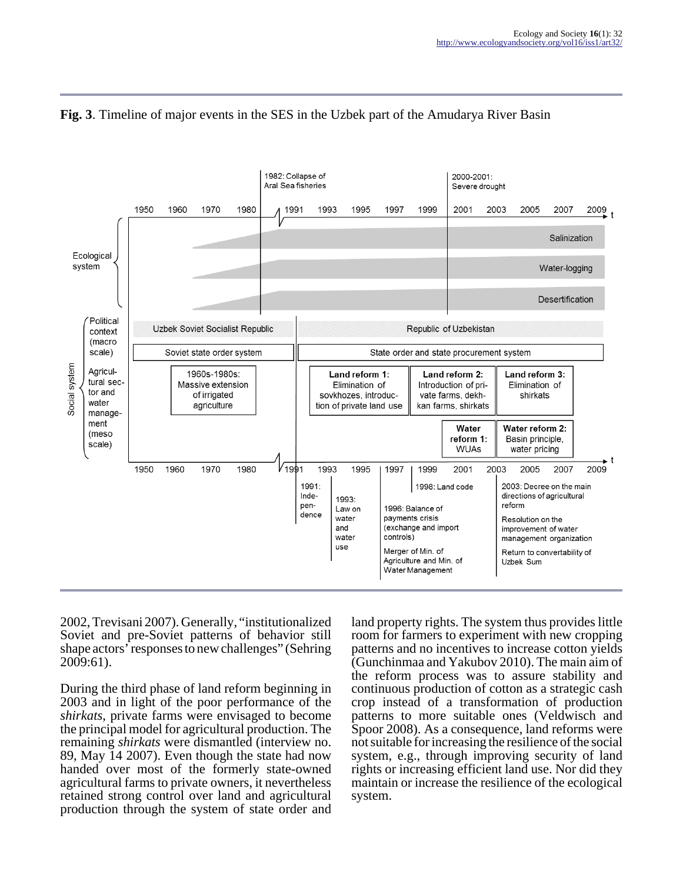

## **Fig. 3**. Timeline of major events in the SES in the Uzbek part of the Amudarya River Basin

2002, Trevisani 2007). Generally, "institutionalized Soviet and pre-Soviet patterns of behavior still shape actors' responses to new challenges" (Sehring 2009:61).

During the third phase of land reform beginning in 2003 and in light of the poor performance of the *shirkats*, private farms were envisaged to become the principal model for agricultural production. The remaining *shirkats* were dismantled (interview no. 89, May 14 2007). Even though the state had now handed over most of the formerly state-owned agricultural farms to private owners, it nevertheless retained strong control over land and agricultural production through the system of state order and

land property rights. The system thus provides little room for farmers to experiment with new cropping patterns and no incentives to increase cotton yields (Gunchinmaa and Yakubov 2010). The main aim of the reform process was to assure stability and continuous production of cotton as a strategic cash crop instead of a transformation of production patterns to more suitable ones (Veldwisch and Spoor 2008). As a consequence, land reforms were not suitable for increasing the resilience of the social system, e.g., through improving security of land rights or increasing efficient land use. Nor did they maintain or increase the resilience of the ecological system.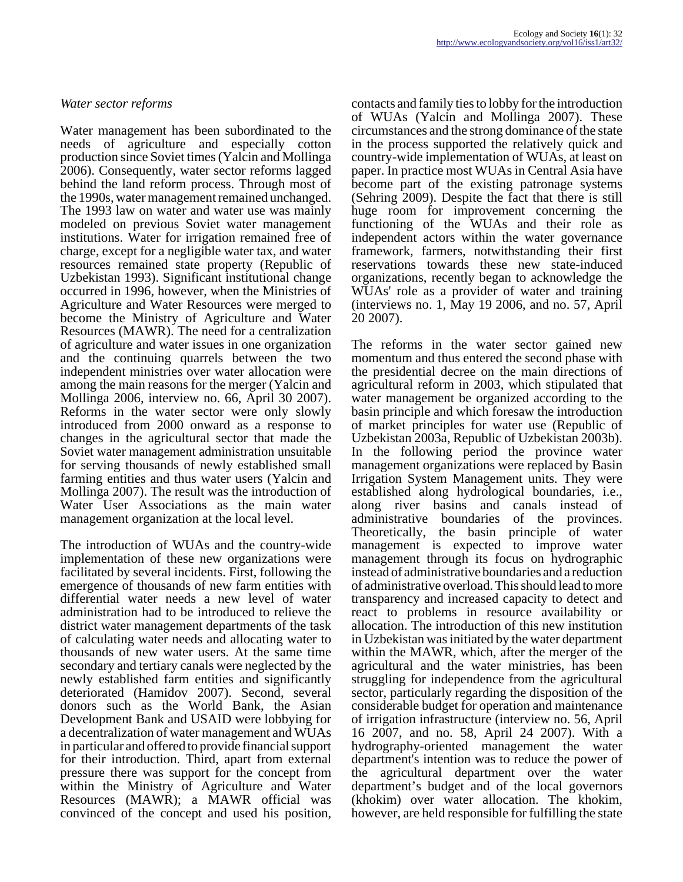#### *Water sector reforms*

Water management has been subordinated to the needs of agriculture and especially cotton production since Soviet times (Yalcin and Mollinga 2006). Consequently, water sector reforms lagged behind the land reform process. Through most of the 1990s, water management remained unchanged. The 1993 law on water and water use was mainly modeled on previous Soviet water management institutions. Water for irrigation remained free of charge, except for a negligible water tax, and water resources remained state property (Republic of Uzbekistan 1993). Significant institutional change occurred in 1996, however, when the Ministries of Agriculture and Water Resources were merged to become the Ministry of Agriculture and Water Resources (MAWR). The need for a centralization of agriculture and water issues in one organization and the continuing quarrels between the two independent ministries over water allocation were among the main reasons for the merger (Yalcin and Mollinga 2006, interview no. 66, April 30 2007). Reforms in the water sector were only slowly introduced from 2000 onward as a response to changes in the agricultural sector that made the Soviet water management administration unsuitable for serving thousands of newly established small farming entities and thus water users (Yalcin and Mollinga 2007). The result was the introduction of Water User Associations as the main water management organization at the local level.

The introduction of WUAs and the country-wide implementation of these new organizations were facilitated by several incidents. First, following the emergence of thousands of new farm entities with differential water needs a new level of water administration had to be introduced to relieve the district water management departments of the task of calculating water needs and allocating water to thousands of new water users. At the same time secondary and tertiary canals were neglected by the newly established farm entities and significantly deteriorated (Hamidov 2007). Second, several donors such as the World Bank, the Asian Development Bank and USAID were lobbying for a decentralization of water management and WUAs in particular and offered to provide financial support for their introduction. Third, apart from external pressure there was support for the concept from within the Ministry of Agriculture and Water Resources (MAWR); a MAWR official was convinced of the concept and used his position,

contacts and family ties to lobby for the introduction of WUAs (Yalcin and Mollinga 2007). These circumstances and the strong dominance of the state in the process supported the relatively quick and country-wide implementation of WUAs, at least on paper. In practice most WUAs in Central Asia have become part of the existing patronage systems (Sehring 2009). Despite the fact that there is still huge room for improvement concerning the functioning of the WUAs and their role as independent actors within the water governance framework, farmers, notwithstanding their first reservations towards these new state-induced organizations, recently began to acknowledge the WUAs' role as a provider of water and training (interviews no. 1, May 19 2006, and no. 57, April 20 2007).

The reforms in the water sector gained new momentum and thus entered the second phase with the presidential decree on the main directions of agricultural reform in 2003, which stipulated that water management be organized according to the basin principle and which foresaw the introduction of market principles for water use (Republic of Uzbekistan 2003a, Republic of Uzbekistan 2003b). In the following period the province water management organizations were replaced by Basin Irrigation System Management units. They were established along hydrological boundaries, i.e., along river basins and canals instead of administrative boundaries of the provinces. Theoretically, the basin principle of water management is expected to improve water management through its focus on hydrographic instead of administrative boundaries and a reduction of administrative overload. This should lead to more transparency and increased capacity to detect and react to problems in resource availability or allocation. The introduction of this new institution in Uzbekistan was initiated by the water department within the MAWR, which, after the merger of the agricultural and the water ministries, has been struggling for independence from the agricultural sector, particularly regarding the disposition of the considerable budget for operation and maintenance of irrigation infrastructure (interview no. 56, April 16 2007, and no. 58, April 24 2007). With a hydrography-oriented management the water department's intention was to reduce the power of the agricultural department over the water department's budget and of the local governors (khokim) over water allocation. The khokim, however, are held responsible for fulfilling the state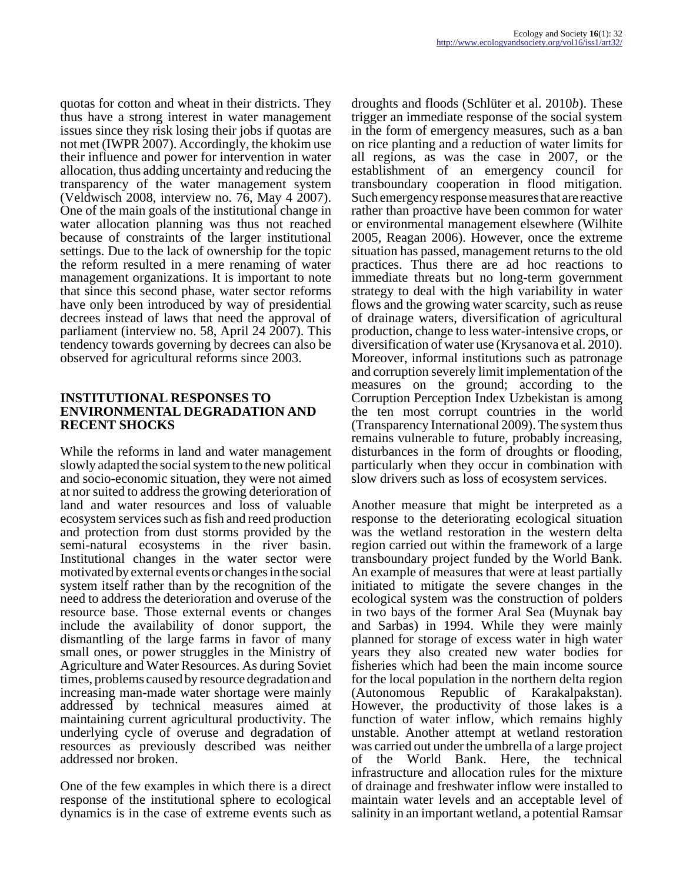quotas for cotton and wheat in their districts. They thus have a strong interest in water management issues since they risk losing their jobs if quotas are not met (IWPR 2007). Accordingly, the khokim use their influence and power for intervention in water allocation, thus adding uncertainty and reducing the transparency of the water management system (Veldwisch 2008, interview no. 76, May 4 2007). One of the main goals of the institutional change in water allocation planning was thus not reached because of constraints of the larger institutional settings. Due to the lack of ownership for the topic the reform resulted in a mere renaming of water management organizations. It is important to note that since this second phase, water sector reforms have only been introduced by way of presidential decrees instead of laws that need the approval of parliament (interview no. 58, April 24 2007). This tendency towards governing by decrees can also be observed for agricultural reforms since 2003.

### **INSTITUTIONAL RESPONSES TO ENVIRONMENTAL DEGRADATION AND RECENT SHOCKS**

While the reforms in land and water management slowly adapted the social system to the new political and socio-economic situation, they were not aimed at nor suited to address the growing deterioration of land and water resources and loss of valuable ecosystem services such as fish and reed production and protection from dust storms provided by the semi-natural ecosystems in the river basin. Institutional changes in the water sector were motivated by external events or changes in the social system itself rather than by the recognition of the need to address the deterioration and overuse of the resource base. Those external events or changes include the availability of donor support, the dismantling of the large farms in favor of many small ones, or power struggles in the Ministry of Agriculture and Water Resources. As during Soviet times, problems caused by resource degradation and increasing man-made water shortage were mainly addressed by technical measures aimed at maintaining current agricultural productivity. The underlying cycle of overuse and degradation of resources as previously described was neither addressed nor broken.

One of the few examples in which there is a direct response of the institutional sphere to ecological dynamics is in the case of extreme events such as

droughts and floods (Schlüter et al. 2010*b*). These trigger an immediate response of the social system in the form of emergency measures, such as a ban on rice planting and a reduction of water limits for all regions, as was the case in 2007, or the establishment of an emergency council for transboundary cooperation in flood mitigation. Such emergency response measures that are reactive rather than proactive have been common for water or environmental management elsewhere (Wilhite 2005, Reagan 2006). However, once the extreme situation has passed, management returns to the old practices. Thus there are ad hoc reactions to immediate threats but no long-term government strategy to deal with the high variability in water flows and the growing water scarcity, such as reuse of drainage waters, diversification of agricultural production, change to less water-intensive crops, or diversification of water use (Krysanova et al. 2010). Moreover, informal institutions such as patronage and corruption severely limit implementation of the measures on the ground; according to the Corruption Perception Index Uzbekistan is among the ten most corrupt countries in the world (Transparency International 2009). The system thus remains vulnerable to future, probably increasing, disturbances in the form of droughts or flooding, particularly when they occur in combination with slow drivers such as loss of ecosystem services.

Another measure that might be interpreted as a response to the deteriorating ecological situation was the wetland restoration in the western delta region carried out within the framework of a large transboundary project funded by the World Bank. An example of measures that were at least partially initiated to mitigate the severe changes in the ecological system was the construction of polders in two bays of the former Aral Sea (Muynak bay and Sarbas) in 1994. While they were mainly planned for storage of excess water in high water years they also created new water bodies for fisheries which had been the main income source for the local population in the northern delta region (Autonomous Republic of Karakalpakstan). However, the productivity of those lakes is a function of water inflow, which remains highly unstable. Another attempt at wetland restoration was carried out under the umbrella of a large project of the World Bank. Here, the technical infrastructure and allocation rules for the mixture of drainage and freshwater inflow were installed to maintain water levels and an acceptable level of salinity in an important wetland, a potential Ramsar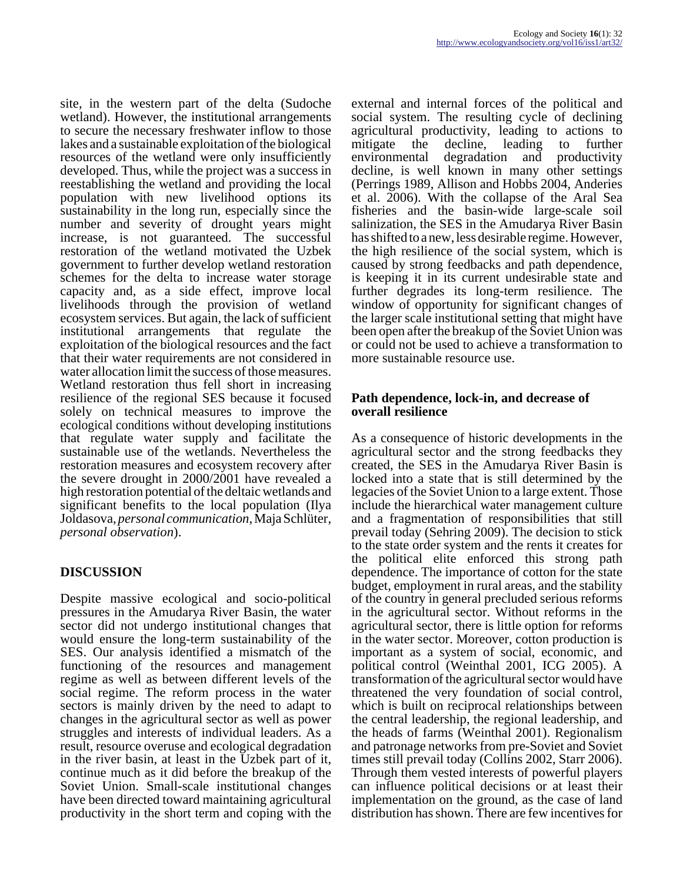site, in the western part of the delta (Sudoche wetland). However, the institutional arrangements to secure the necessary freshwater inflow to those lakes and a sustainable exploitation of the biological resources of the wetland were only insufficiently developed. Thus, while the project was a success in reestablishing the wetland and providing the local population with new livelihood options its sustainability in the long run, especially since the number and severity of drought years might increase, is not guaranteed. The successful restoration of the wetland motivated the Uzbek government to further develop wetland restoration schemes for the delta to increase water storage capacity and, as a side effect, improve local livelihoods through the provision of wetland ecosystem services. But again, the lack of sufficient institutional arrangements that regulate the exploitation of the biological resources and the fact that their water requirements are not considered in water allocation limit the success of those measures. Wetland restoration thus fell short in increasing resilience of the regional SES because it focused solely on technical measures to improve the ecological conditions without developing institutions that regulate water supply and facilitate the sustainable use of the wetlands. Nevertheless the restoration measures and ecosystem recovery after the severe drought in 2000/2001 have revealed a high restoration potential of the deltaic wetlands and significant benefits to the local population (Ilya Joldasova, *personal communication*, Maja Schlüter, *personal observation*).

## **DISCUSSION**

Despite massive ecological and socio-political pressures in the Amudarya River Basin, the water sector did not undergo institutional changes that would ensure the long-term sustainability of the SES. Our analysis identified a mismatch of the functioning of the resources and management regime as well as between different levels of the social regime. The reform process in the water sectors is mainly driven by the need to adapt to changes in the agricultural sector as well as power struggles and interests of individual leaders. As a result, resource overuse and ecological degradation in the river basin, at least in the Uzbek part of it, continue much as it did before the breakup of the Soviet Union. Small-scale institutional changes have been directed toward maintaining agricultural productivity in the short term and coping with the

external and internal forces of the political and social system. The resulting cycle of declining agricultural productivity, leading to actions to mitigate the decline, leading to further environmental degradation and productivity decline, is well known in many other settings (Perrings 1989, Allison and Hobbs 2004, Anderies et al. 2006). With the collapse of the Aral Sea fisheries and the basin-wide large-scale soil salinization, the SES in the Amudarya River Basin has shifted to a new, less desirable regime. However, the high resilience of the social system, which is caused by strong feedbacks and path dependence, is keeping it in its current undesirable state and further degrades its long-term resilience. The window of opportunity for significant changes of the larger scale institutional setting that might have been open after the breakup of the Soviet Union was or could not be used to achieve a transformation to more sustainable resource use.

#### **Path dependence, lock-in, and decrease of overall resilience**

As a consequence of historic developments in the agricultural sector and the strong feedbacks they created, the SES in the Amudarya River Basin is locked into a state that is still determined by the legacies of the Soviet Union to a large extent. Those include the hierarchical water management culture and a fragmentation of responsibilities that still prevail today (Sehring 2009). The decision to stick to the state order system and the rents it creates for the political elite enforced this strong path dependence. The importance of cotton for the state budget, employment in rural areas, and the stability of the country in general precluded serious reforms in the agricultural sector. Without reforms in the agricultural sector, there is little option for reforms in the water sector. Moreover, cotton production is important as a system of social, economic, and political control (Weinthal 2001, ICG 2005). A transformation of the agricultural sector would have threatened the very foundation of social control, which is built on reciprocal relationships between the central leadership, the regional leadership, and the heads of farms (Weinthal 2001). Regionalism and patronage networks from pre-Soviet and Soviet times still prevail today (Collins 2002, Starr 2006). Through them vested interests of powerful players can influence political decisions or at least their implementation on the ground, as the case of land distribution has shown. There are few incentives for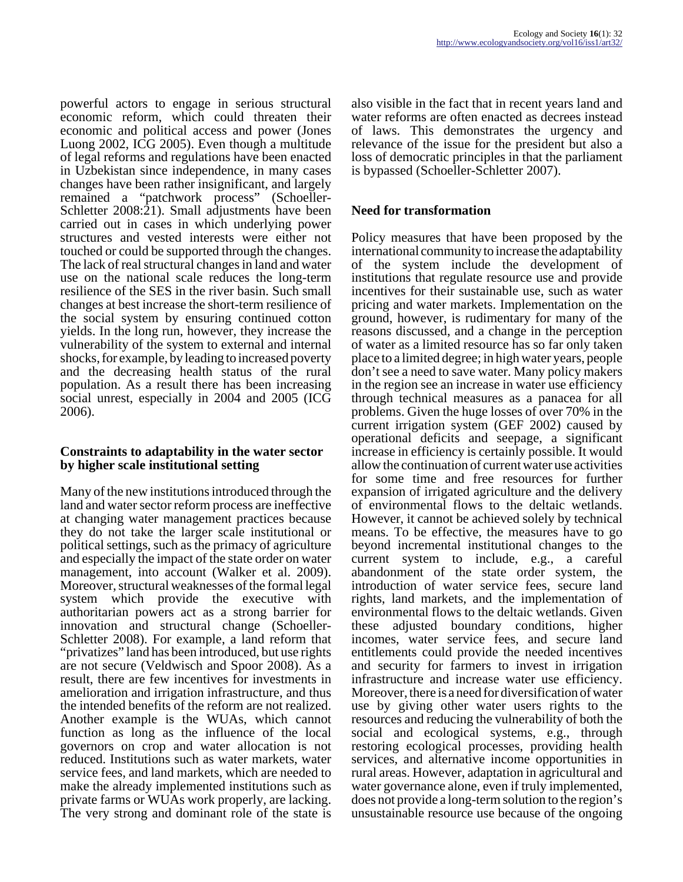powerful actors to engage in serious structural economic reform, which could threaten their economic and political access and power (Jones Luong 2002, ICG 2005). Even though a multitude of legal reforms and regulations have been enacted in Uzbekistan since independence, in many cases changes have been rather insignificant, and largely remained a "patchwork process" (Schoeller-Schletter  $2008:21$ ). Small adjustments have been carried out in cases in which underlying power structures and vested interests were either not touched or could be supported through the changes. The lack of real structural changes in land and water use on the national scale reduces the long-term resilience of the SES in the river basin. Such small changes at best increase the short-term resilience of the social system by ensuring continued cotton yields. In the long run, however, they increase the vulnerability of the system to external and internal shocks, for example, by leading to increased poverty and the decreasing health status of the rural population. As a result there has been increasing social unrest, especially in 2004 and 2005 (ICG 2006).

#### **Constraints to adaptability in the water sector by higher scale institutional setting**

Many of the new institutions introduced through the land and water sector reform process are ineffective at changing water management practices because they do not take the larger scale institutional or political settings, such as the primacy of agriculture and especially the impact of the state order on water management, into account (Walker et al. 2009). Moreover, structural weaknesses of the formal legal system which provide the executive with authoritarian powers act as a strong barrier for innovation and structural change (Schoeller-Schletter 2008). For example, a land reform that "privatizes" land has been introduced, but use rights are not secure (Veldwisch and Spoor 2008). As a result, there are few incentives for investments in amelioration and irrigation infrastructure, and thus the intended benefits of the reform are not realized. Another example is the WUAs, which cannot function as long as the influence of the local governors on crop and water allocation is not reduced. Institutions such as water markets, water service fees, and land markets, which are needed to make the already implemented institutions such as private farms or WUAs work properly, are lacking. The very strong and dominant role of the state is

also visible in the fact that in recent years land and water reforms are often enacted as decrees instead of laws. This demonstrates the urgency and relevance of the issue for the president but also a loss of democratic principles in that the parliament is bypassed (Schoeller-Schletter 2007).

### **Need for transformation**

Policy measures that have been proposed by the international community to increase the adaptability of the system include the development of institutions that regulate resource use and provide incentives for their sustainable use, such as water pricing and water markets. Implementation on the ground, however, is rudimentary for many of the reasons discussed, and a change in the perception of water as a limited resource has so far only taken place to a limited degree; in high water years, people don't see a need to save water. Many policy makers in the region see an increase in water use efficiency through technical measures as a panacea for all problems. Given the huge losses of over 70% in the current irrigation system (GEF 2002) caused by operational deficits and seepage, a significant increase in efficiency is certainly possible. It would allow the continuation of current water use activities for some time and free resources for further expansion of irrigated agriculture and the delivery of environmental flows to the deltaic wetlands. However, it cannot be achieved solely by technical means. To be effective, the measures have to go beyond incremental institutional changes to the current system to include, e.g., a careful abandonment of the state order system, the introduction of water service fees, secure land rights, land markets, and the implementation of environmental flows to the deltaic wetlands. Given these adjusted boundary conditions, higher incomes, water service fees, and secure land entitlements could provide the needed incentives and security for farmers to invest in irrigation infrastructure and increase water use efficiency. Moreover, there is a need for diversification of water use by giving other water users rights to the resources and reducing the vulnerability of both the social and ecological systems, e.g., through restoring ecological processes, providing health services, and alternative income opportunities in rural areas. However, adaptation in agricultural and water governance alone, even if truly implemented, does not provide a long-term solution to the region's unsustainable resource use because of the ongoing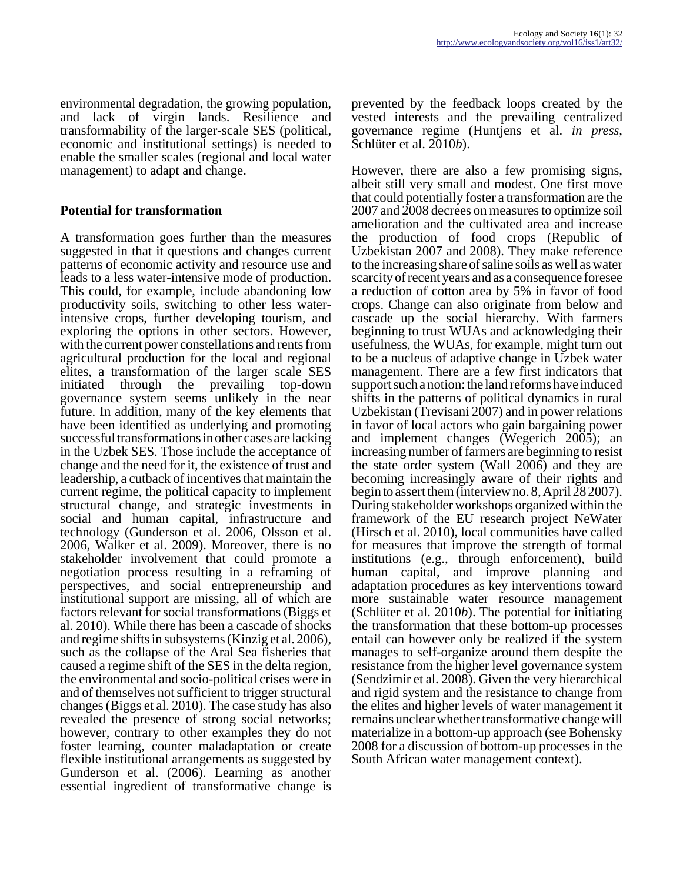environmental degradation, the growing population, and lack of virgin lands. Resilience and transformability of the larger-scale SES (political, economic and institutional settings) is needed to enable the smaller scales (regional and local water management) to adapt and change.

#### **Potential for transformation**

A transformation goes further than the measures suggested in that it questions and changes current patterns of economic activity and resource use and leads to a less water-intensive mode of production. This could, for example, include abandoning low productivity soils, switching to other less waterintensive crops, further developing tourism, and exploring the options in other sectors. However, with the current power constellations and rents from agricultural production for the local and regional elites, a transformation of the larger scale SES initiated through the prevailing governance system seems unlikely in the near future. In addition, many of the key elements that have been identified as underlying and promoting successful transformations in other cases are lacking in the Uzbek SES. Those include the acceptance of change and the need for it, the existence of trust and leadership, a cutback of incentives that maintain the current regime, the political capacity to implement structural change, and strategic investments in social and human capital, infrastructure and technology (Gunderson et al. 2006, Olsson et al. 2006, Walker et al. 2009). Moreover, there is no stakeholder involvement that could promote a negotiation process resulting in a reframing of perspectives, and social entrepreneurship and institutional support are missing, all of which are factors relevant for social transformations (Biggs et al. 2010). While there has been a cascade of shocks and regime shifts in subsystems (Kinzig et al. 2006), such as the collapse of the Aral Sea fisheries that caused a regime shift of the SES in the delta region, the environmental and socio-political crises were in and of themselves not sufficient to trigger structural changes (Biggs et al. 2010). The case study has also revealed the presence of strong social networks; however, contrary to other examples they do not foster learning, counter maladaptation or create flexible institutional arrangements as suggested by Gunderson et al. (2006). Learning as another essential ingredient of transformative change is

prevented by the feedback loops created by the vested interests and the prevailing centralized governance regime (Huntjens et al. *in press*, Schlüter et al. 2010*b*).

However, there are also a few promising signs, albeit still very small and modest. One first move that could potentially foster a transformation are the 2007 and 2008 decrees on measures to optimize soil amelioration and the cultivated area and increase the production of food crops (Republic of Uzbekistan 2007 and 2008). They make reference to the increasing share of saline soils as well as water scarcity of recent years and as a consequence foresee a reduction of cotton area by 5% in favor of food crops. Change can also originate from below and cascade up the social hierarchy. With farmers beginning to trust WUAs and acknowledging their usefulness, the WUAs, for example, might turn out to be a nucleus of adaptive change in Uzbek water management. There are a few first indicators that support such a notion: the land reforms have induced shifts in the patterns of political dynamics in rural Uzbekistan (Trevisani 2007) and in power relations in favor of local actors who gain bargaining power and implement changes (Wegerich 2005); an increasing number of farmers are beginning to resist the state order system (Wall 2006) and they are becoming increasingly aware of their rights and begin to assert them (interview no. 8, April 28 2007). During stakeholder workshops organized within the framework of the EU research project NeWater (Hirsch et al. 2010), local communities have called for measures that improve the strength of formal institutions (e.g., through enforcement), build human capital, and improve planning and adaptation procedures as key interventions toward more sustainable water resource management (Schlüter et al. 2010*b*). The potential for initiating the transformation that these bottom-up processes entail can however only be realized if the system manages to self-organize around them despite the resistance from the higher level governance system (Sendzimir et al. 2008). Given the very hierarchical and rigid system and the resistance to change from the elites and higher levels of water management it remains unclear whether transformative change will materialize in a bottom-up approach (see Bohensky 2008 for a discussion of bottom-up processes in the South African water management context).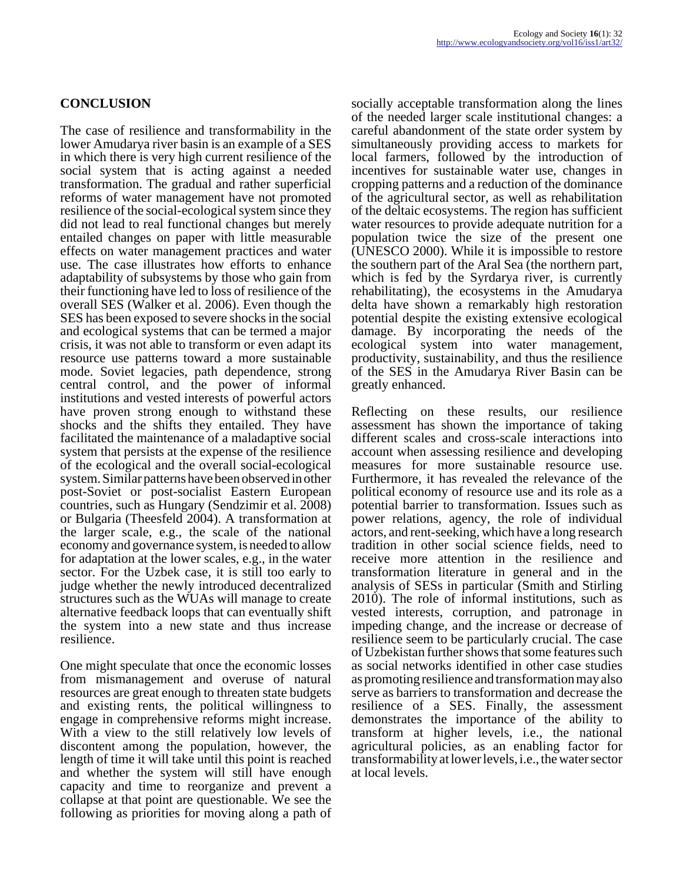## **CONCLUSION**

The case of resilience and transformability in the lower Amudarya river basin is an example of a SES in which there is very high current resilience of the social system that is acting against a needed transformation. The gradual and rather superficial reforms of water management have not promoted resilience of the social-ecological system since they did not lead to real functional changes but merely entailed changes on paper with little measurable effects on water management practices and water use. The case illustrates how efforts to enhance adaptability of subsystems by those who gain from their functioning have led to loss of resilience of the overall SES (Walker et al. 2006). Even though the SES has been exposed to severe shocks in the social and ecological systems that can be termed a major crisis, it was not able to transform or even adapt its resource use patterns toward a more sustainable mode. Soviet legacies, path dependence, strong central control, and the power of informal institutions and vested interests of powerful actors have proven strong enough to withstand these shocks and the shifts they entailed. They have facilitated the maintenance of a maladaptive social system that persists at the expense of the resilience of the ecological and the overall social-ecological system. Similar patterns have been observed in other post-Soviet or post-socialist Eastern European countries, such as Hungary (Sendzimir et al. 2008) or Bulgaria (Theesfeld 2004). A transformation at the larger scale, e.g., the scale of the national economy and governance system, is needed to allow for adaptation at the lower scales, e.g., in the water sector. For the Uzbek case, it is still too early to judge whether the newly introduced decentralized structures such as the WUAs will manage to create alternative feedback loops that can eventually shift the system into a new state and thus increase resilience.

One might speculate that once the economic losses from mismanagement and overuse of natural resources are great enough to threaten state budgets and existing rents, the political willingness to engage in comprehensive reforms might increase. With a view to the still relatively low levels of discontent among the population, however, the length of time it will take until this point is reached and whether the system will still have enough capacity and time to reorganize and prevent a collapse at that point are questionable. We see the following as priorities for moving along a path of socially acceptable transformation along the lines of the needed larger scale institutional changes: a careful abandonment of the state order system by simultaneously providing access to markets for local farmers, followed by the introduction of incentives for sustainable water use, changes in cropping patterns and a reduction of the dominance of the agricultural sector, as well as rehabilitation of the deltaic ecosystems. The region has sufficient water resources to provide adequate nutrition for a population twice the size of the present one (UNESCO 2000). While it is impossible to restore the southern part of the Aral Sea (the northern part, which is fed by the Syrdarya river, is currently rehabilitating), the ecosystems in the Amudarya delta have shown a remarkably high restoration potential despite the existing extensive ecological damage. By incorporating the needs of the ecological system into water management, productivity, sustainability, and thus the resilience of the SES in the Amudarya River Basin can be greatly enhanced.

Reflecting on these results, our resilience assessment has shown the importance of taking different scales and cross-scale interactions into account when assessing resilience and developing measures for more sustainable resource use. Furthermore, it has revealed the relevance of the political economy of resource use and its role as a potential barrier to transformation. Issues such as power relations, agency, the role of individual actors, and rent-seeking, which have a long research tradition in other social science fields, need to receive more attention in the resilience and transformation literature in general and in the analysis of SESs in particular (Smith and Stirling 2010). The role of informal institutions, such as vested interests, corruption, and patronage in impeding change, and the increase or decrease of resilience seem to be particularly crucial. The case of Uzbekistan further shows that some features such as social networks identified in other case studies as promoting resilience and transformation may also serve as barriers to transformation and decrease the resilience of a SES. Finally, the assessment demonstrates the importance of the ability to transform at higher levels, i.e., the national agricultural policies, as an enabling factor for transformability at lower levels, i.e., the water sector at local levels.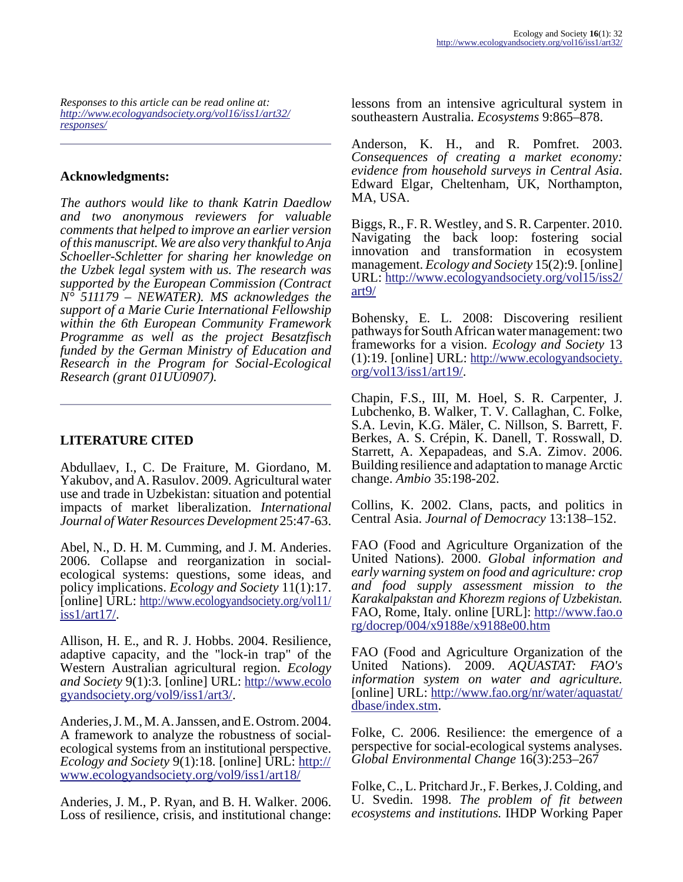*Responses to this article can be read online at: [http://www](http://www.ecologyandsociety.org/vol16/iss1/art32/responses/).ecologyandsociety.org/vol16/iss1/art32/ responses/*

#### **Acknowledgments:**

*The authors would like to thank Katrin Daedlow and two anonymous reviewers for valuable comments that helped to improve an earlier version of this manuscript. We are also very thankful to Anja Schoeller-Schletter for sharing her knowledge on the Uzbek legal system with us. The research was supported by the European Commission (Contract N° 511179 – NEWATER). MS acknowledges the support of a Marie Curie International Fellowship within the 6th European Community Framework Programme as well as the project Besatzfisch funded by the German Ministry of Education and Research in the Program for Social-Ecological Research (grant 01UU0907).*

## **LITERATURE CITED**

Abdullaev, I., C. De Fraiture, M. Giordano, M. Yakubov, and A. Rasulov. 2009. Agricultural water use and trade in Uzbekistan: situation and potential impacts of market liberalization. *International Journal of Water Resources Development* 25:47-63.

Abel, N., D. H. M. Cumming, and J. M. Anderies. 2006. Collapse and reorganization in socialecological systems: questions, some ideas, and policy implications. *Ecology and Society* 11(1):17. [online] URL: [http://www.ecologyandsociety.org/vol11/](http://www.ecologyandsociety.org/vol11/iss1/art17/) [iss1/art17/](http://www.ecologyandsociety.org/vol11/iss1/art17/).

Allison, H. E., and R. J. Hobbs. 2004. Resilience, adaptive capacity, and the "lock-in trap" of the Western Australian agricultural region. *Ecology and Society* 9(1):3. [online] URL: [http://www.ecolo](http://www.ecologyandsociety.org/vol9/iss1/art3/) [gyandsociety.org/vol9/iss1/art3/](http://www.ecologyandsociety.org/vol9/iss1/art3/).

Anderies, J. M., M. A. Janssen, and E. Ostrom. 2004. A framework to analyze the robustness of socialecological systems from an institutional perspective. *Ecology and Society* 9(1):18. [online] URL: [http://](http://www.ecologyandsociety.org/vol9/iss1/art18/) [www.ecologyandsociety.org/vol9/iss1/art18/](http://www.ecologyandsociety.org/vol9/iss1/art18/)

Anderies, J. M., P. Ryan, and B. H. Walker. 2006. Loss of resilience, crisis, and institutional change: lessons from an intensive agricultural system in southeastern Australia. *Ecosystems* 9:865–878.

Anderson, K. H., and R. Pomfret. 2003. *Consequences of creating a market economy: evidence from household surveys in Central Asia*. Edward Elgar, Cheltenham, UK, Northampton, MA, USA.

Biggs, R., F. R. Westley, and S. R. Carpenter. 2010. Navigating the back loop: fostering social innovation and transformation in ecosystem management. *Ecology and Society* 15(2):9. [online] URL: [http://www.ecologyandsociety.org/vol15/iss2/](http://www.ecologyandsociety.org/vol15/iss2/art9/) [art9/](http://www.ecologyandsociety.org/vol15/iss2/art9/)

Bohensky, E. L. 2008: Discovering resilient pathways for South African water management: two frameworks for a vision. *Ecology and Society* 13 (1):19. [online] URL: [http://www.ecologyandsociety.](http://www.ecologyandsociety.org/vol13/iss1/art19/) [org/vol13/iss1/art19/](http://www.ecologyandsociety.org/vol13/iss1/art19/).

Chapin, F.S., III, M. Hoel, S. R. Carpenter, J. Lubchenko, B. Walker, T. V. Callaghan, C. Folke, S.A. Levin, K.G. Mäler, C. Nillson, S. Barrett, F. Berkes, A. S. Crépin, K. Danell, T. Rosswall, D. Starrett, A. Xepapadeas, and S.A. Zimov. 2006. Building resilience and adaptation to manage Arctic change. *Ambio* 35:198-202.

Collins, K. 2002. Clans, pacts, and politics in Central Asia. *Journal of Democracy* 13:138–152.

FAO (Food and Agriculture Organization of the United Nations). 2000. *Global information and early warning system on food and agriculture: crop and food supply assessment mission to the Karakalpakstan and Khorezm regions of Uzbekistan.* FAO, Rome, Italy. online [URL]: [http://www.fao.o](http://www.fao.org/docrep/004/x9188e/x9188e00.htm) [rg/docrep/004/x9188e/x9188e00.htm](http://www.fao.org/docrep/004/x9188e/x9188e00.htm)

FAO (Food and Agriculture Organization of the United Nations). 2009. *AQUASTAT: FAO's information system on water and agriculture.* [online] URL: [http://www.fao.org/nr/water/aquastat/](http://www.fao.org/nr/water/aquastat/dbase/index.stm) [dbase/index.stm.](http://www.fao.org/nr/water/aquastat/dbase/index.stm)

Folke, C. 2006. Resilience: the emergence of a perspective for social-ecological systems analyses. *Global Environmental Change* 16(3):253–267

Folke, C., L. Pritchard Jr., F. Berkes, J. Colding, and U. Svedin. 1998. *The problem of fit between ecosystems and institutions.* IHDP Working Paper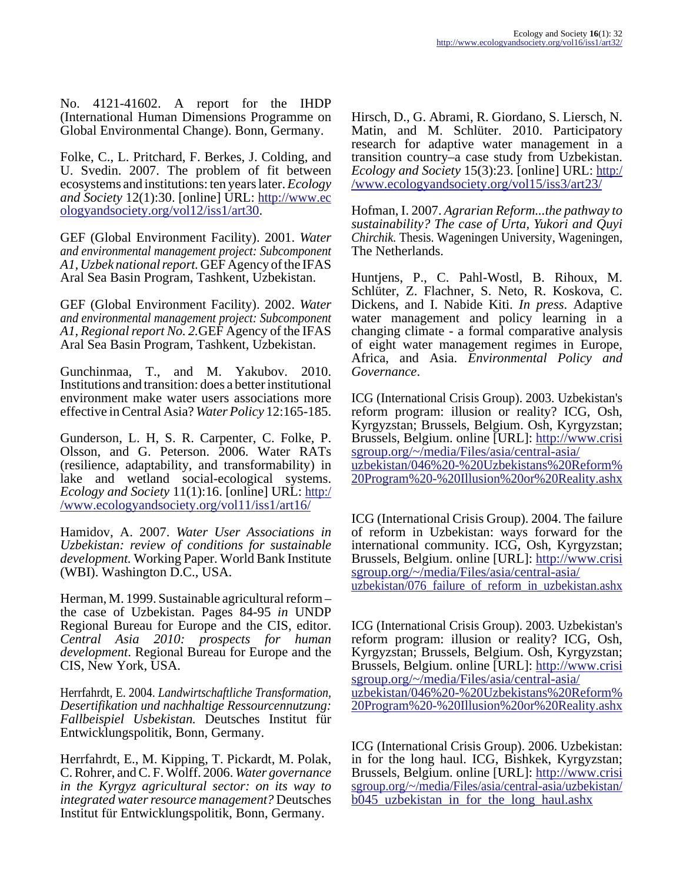No. 4121-41602. A report for the IHDP (International Human Dimensions Programme on Global Environmental Change). Bonn, Germany.

Folke, C., L. Pritchard, F. Berkes, J. Colding, and U. Svedin. 2007. The problem of fit between ecosystems and institutions: ten years later. *Ecology and Society* 12(1):30. [online] URL: [http://www.ec](http://www.ecologyandsociety.org/vol12/iss1/art30) [ologyandsociety.org/vol12/iss1/art30](http://www.ecologyandsociety.org/vol12/iss1/art30).

GEF (Global Environment Facility). 2001. *Water and environmental management project: Subcomponent A1, Uzbek national report.* GEF Agency of the IFAS Aral Sea Basin Program, Tashkent, Uzbekistan.

GEF (Global Environment Facility). 2002. *Water and environmental management project: Subcomponent A1, Regional report No. 2.*GEF Agency of the IFAS Aral Sea Basin Program, Tashkent, Uzbekistan.

Gunchinmaa, T., and M. Yakubov. 2010. Institutions and transition: does a better institutional environment make water users associations more effective in Central Asia? *Water Policy* 12:165-185.

Gunderson, L. H, S. R. Carpenter, C. Folke, P. Olsson, and G. Peterson. 2006. Water RATs (resilience, adaptability, and transformability) in lake and wetland social-ecological systems. *Ecology and Society* 11(1):16. [online] URL: [http:/](http://www.ecologyandsociety.org/vol11/iss1/art16/) [/www.ecologyandsociety.org/vol11/iss1/art16/](http://www.ecologyandsociety.org/vol11/iss1/art16/)

Hamidov, A. 2007. *Water User Associations in Uzbekistan: review of conditions for sustainable development.* Working Paper. World Bank Institute (WBI). Washington D.C., USA.

Herman, M. 1999. Sustainable agricultural reform – the case of Uzbekistan. Pages 84-95 *in* UNDP Regional Bureau for Europe and the CIS, editor. *Central Asia 2010: prospects for human development*. Regional Bureau for Europe and the CIS, New York, USA.

Herrfahrdt, E. 2004. *Landwirtschaftliche Transformation, Desertifikation und nachhaltige Ressourcennutzung: Fallbeispiel Usbekistan.* Deutsches Institut für Entwicklungspolitik, Bonn, Germany.

Herrfahrdt, E., M. Kipping, T. Pickardt, M. Polak, C. Rohrer, and C. F. Wolff. 2006. *Water governance in the Kyrgyz agricultural sector: on its way to integrated water resource management?* Deutsches Institut für Entwicklungspolitik, Bonn, Germany.

Hirsch, D., G. Abrami, R. Giordano, S. Liersch, N. Matin, and M. Schlüter. 2010. Participatory research for adaptive water management in a transition country–a case study from Uzbekistan. *Ecology and Society* 15(3):23. [online] URL: [http:/](http://www.ecologyandsociety.org/vol15/iss3/art23/) [/www.ecologyandsociety.org/vol15/iss3/art23/](http://www.ecologyandsociety.org/vol15/iss3/art23/)

Hofman, I. 2007. *Agrarian Reform...the pathway to sustainability? The case of Urta, Yukori and Quyi Chirchik.* Thesis. Wageningen University, Wageningen, The Netherlands.

Huntjens, P., C. Pahl-Wostl, B. Rihoux, M. Schlüter, Z. Flachner, S. Neto, R. Koskova, C. Dickens, and I. Nabide Kiti. *In press*. Adaptive water management and policy learning in a changing climate - a formal comparative analysis of eight water management regimes in Europe, Africa, and Asia. *Environmental Policy and Governance*.

ICG (International Crisis Group). 2003. Uzbekistan's reform program: illusion or reality? ICG, Osh, Kyrgyzstan; Brussels, Belgium. Osh, Kyrgyzstan; Brussels, Belgium. online [URL]: [http://www.crisi](http://www.crisisgroup.org/~/media/Files/asia/central-asia/uzbekistan/046%20-%20Uzbekistans%20Reform%20Program%20-%20Illusion%20or%20Reality.ashx) [sgroup.org/~/media/Files/asia/central-asia/](http://www.crisisgroup.org/~/media/Files/asia/central-asia/uzbekistan/046%20-%20Uzbekistans%20Reform%20Program%20-%20Illusion%20or%20Reality.ashx) [uzbekistan/046%20-%20Uzbekistans%20Reform%](http://www.crisisgroup.org/~/media/Files/asia/central-asia/uzbekistan/046%20-%20Uzbekistans%20Reform%20Program%20-%20Illusion%20or%20Reality.ashx) [20Program%20-%20Illusion%20or%20Reality.ashx](http://www.crisisgroup.org/~/media/Files/asia/central-asia/uzbekistan/046%20-%20Uzbekistans%20Reform%20Program%20-%20Illusion%20or%20Reality.ashx)

ICG (International Crisis Group). 2004. The failure of reform in Uzbekistan: ways forward for the international community. ICG, Osh, Kyrgyzstan; Brussels, Belgium. online [URL]: [http://www.crisi](http://www.crisisgroup.org/~/media/Files/asia/central-asia/uzbekistan/076_failure_of_reform_in_uzbekistan.ashx) [sgroup.org/~/media/Files/asia/central-asia/](http://www.crisisgroup.org/~/media/Files/asia/central-asia/uzbekistan/076_failure_of_reform_in_uzbekistan.ashx) [uzbekistan/076\\_failure\\_of\\_reform\\_in\\_uzbekistan.ashx](http://www.crisisgroup.org/~/media/Files/asia/central-asia/uzbekistan/076_failure_of_reform_in_uzbekistan.ashx)

ICG (International Crisis Group). 2003. Uzbekistan's reform program: illusion or reality? ICG, Osh, Kyrgyzstan; Brussels, Belgium. Osh, Kyrgyzstan; Brussels, Belgium. online [URL]: [http://www.crisi](http://www.crisisgroup.org/~/media/Files/asia/central-asia/uzbekistan/046%20-%20Uzbekistans%20Reform%20Program%20-%20Illusion%20or%20Reality.ashx) [sgroup.org/~/media/Files/asia/central-asia/](http://www.crisisgroup.org/~/media/Files/asia/central-asia/uzbekistan/046%20-%20Uzbekistans%20Reform%20Program%20-%20Illusion%20or%20Reality.ashx) [uzbekistan/046%20-%20Uzbekistans%20Reform%](http://www.crisisgroup.org/~/media/Files/asia/central-asia/uzbekistan/046%20-%20Uzbekistans%20Reform%20Program%20-%20Illusion%20or%20Reality.ashx) [20Program%20-%20Illusion%20or%20Reality.ashx](http://www.crisisgroup.org/~/media/Files/asia/central-asia/uzbekistan/046%20-%20Uzbekistans%20Reform%20Program%20-%20Illusion%20or%20Reality.ashx)

ICG (International Crisis Group). 2006. Uzbekistan: in for the long haul. ICG, Bishkek, Kyrgyzstan; Brussels, Belgium. online [URL]: [http://www.crisi](http://www.crisisgroup.org/~/media/Files/asia/central-asia/uzbekistan/b045_uzbekistan_in_for_the_long_haul.ashx) [sgroup.org/~/media/Files/asia/central-asia/uzbekistan/](http://www.crisisgroup.org/~/media/Files/asia/central-asia/uzbekistan/b045_uzbekistan_in_for_the_long_haul.ashx) [b045\\_uzbekistan\\_in\\_for\\_the\\_long\\_haul.ashx](http://www.crisisgroup.org/~/media/Files/asia/central-asia/uzbekistan/b045_uzbekistan_in_for_the_long_haul.ashx)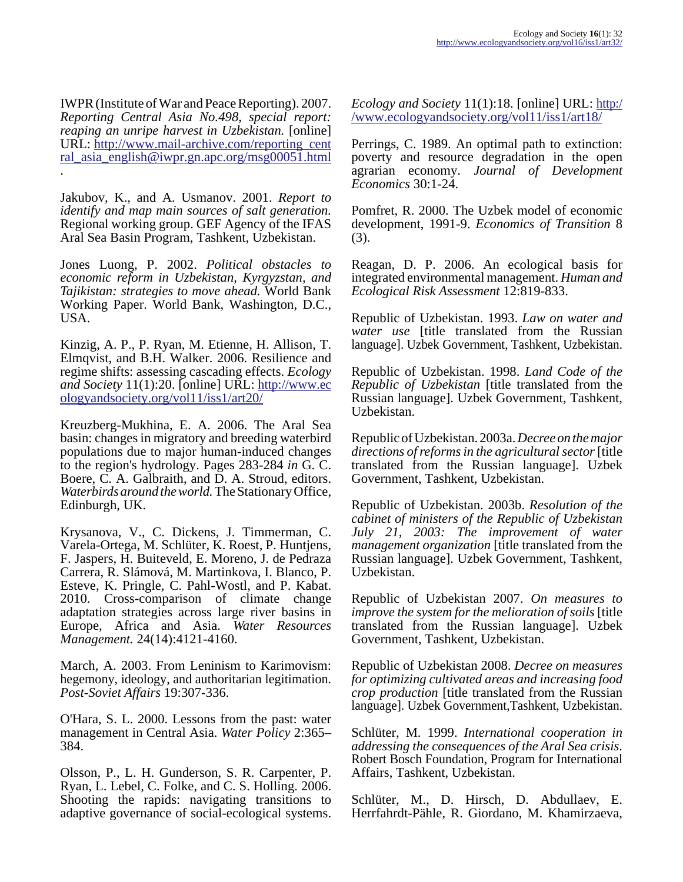IWPR (Institute of War and Peace Reporting). 2007. *Reporting Central Asia No.498, special report: reaping an unripe harvest in Uzbekistan.* [online] URL: [http://www.mail-archive.com/reporting\\_cent](http://www.mail-archive.com/reporting_central_asia_english@iwpr.gn.apc.org/msg00051.html) [ral\\_asia\\_english@iwpr.gn.apc.org/msg00051.html](http://www.mail-archive.com/reporting_central_asia_english@iwpr.gn.apc.org/msg00051.html)

.

Jakubov, K., and A. Usmanov. 2001. *Report to identify and map main sources of salt generation.* Regional working group. GEF Agency of the IFAS Aral Sea Basin Program, Tashkent, Uzbekistan.

Jones Luong, P. 2002. *Political obstacles to economic reform in Uzbekistan, Kyrgyzstan, and Tajikistan: strategies to move ahead.* World Bank Working Paper. World Bank, Washington, D.C., USA.

Kinzig, A. P., P. Ryan, M. Etienne, H. Allison, T. Elmqvist, and B.H. Walker. 2006. Resilience and regime shifts: assessing cascading effects. *Ecology and Society* 11(1):20. [online] URL: [http://www.ec](http://www.ecologyandsociety.org/vol11/iss1/art20/) [ologyandsociety.org/vol11/iss1/art20/](http://www.ecologyandsociety.org/vol11/iss1/art20/)

Kreuzberg-Mukhina, E. A. 2006. The Aral Sea basin: changes in migratory and breeding waterbird populations due to major human-induced changes to the region's hydrology. Pages 283-284 *in* G. C. Boere, C. A. Galbraith, and D. A. Stroud, editors. *Waterbirds around the world.* The Stationary Office, Edinburgh, UK.

Krysanova, V., C. Dickens, J. Timmerman, C. Varela-Ortega, M. Schlüter, K. Roest, P. Huntjens, F. Jaspers, H. Buiteveld, E. Moreno, J. de Pedraza Carrera, R. Slámová, M. Martinkova, I. Blanco, P. Esteve, K. Pringle, C. Pahl-Wostl, and P. Kabat. 2010. Cross-comparison of climate change adaptation strategies across large river basins in Europe, Africa and Asia. *Water Resources Management.* 24(14):4121-4160.

March, A. 2003. From Leninism to Karimovism: hegemony, ideology, and authoritarian legitimation. *Post-Soviet Affairs* 19:307-336.

O'Hara, S. L. 2000. Lessons from the past: water management in Central Asia. *Water Policy* 2:365– 384.

Olsson, P., L. H. Gunderson, S. R. Carpenter, P. Ryan, L. Lebel, C. Folke, and C. S. Holling. 2006. Shooting the rapids: navigating transitions to adaptive governance of social-ecological systems.

*Ecology and Society* 11(1):18. [online] URL: [http:/](http://www.ecologyandsociety.org/vol11/iss1/art18/) [/www.ecologyandsociety.org/vol11/iss1/art18/](http://www.ecologyandsociety.org/vol11/iss1/art18/)

Perrings, C. 1989. An optimal path to extinction: poverty and resource degradation in the open agrarian economy. *Journal of Development Economics* 30:1-24.

Pomfret, R. 2000. The Uzbek model of economic development, 1991-9. *Economics of Transition* 8 (3).

Reagan, D. P. 2006. An ecological basis for integrated environmental management. *Human and Ecological Risk Assessment* 12:819-833.

Republic of Uzbekistan. 1993. *Law on water and water use* [title translated from the Russian] language]. Uzbek Government, Tashkent, Uzbekistan.

Republic of Uzbekistan. 1998. *Land Code of the Republic of Uzbekistan* [title translated from the Russian language]. Uzbek Government, Tashkent, Uzbekistan.

Republic of Uzbekistan. 2003a. *Decree on the major directions of reforms in the agricultural sector* [title translated from the Russian language]. Uzbek Government, Tashkent, Uzbekistan.

Republic of Uzbekistan. 2003b. *Resolution of the cabinet of ministers of the Republic of Uzbekistan July 21, 2003: The improvement of water management organization* [title translated from the Russian language]. Uzbek Government, Tashkent, Uzbekistan.

Republic of Uzbekistan 2007. *On measures to improve the system for the melioration of soils* [title translated from the Russian language]. Uzbek Government, Tashkent, Uzbekistan.

Republic of Uzbekistan 2008. *Decree on measures for optimizing cultivated areas and increasing food crop production* [title translated from the Russian language]. Uzbek Government,Tashkent, Uzbekistan.

Schlüter, M. 1999. *International cooperation in addressing the consequences of the Aral Sea crisis*. Robert Bosch Foundation, Program for International Affairs, Tashkent, Uzbekistan.

Schlüter, M., D. Hirsch, D. Abdullaev, E. Herrfahrdt-Pähle, R. Giordano, M. Khamirzaeva,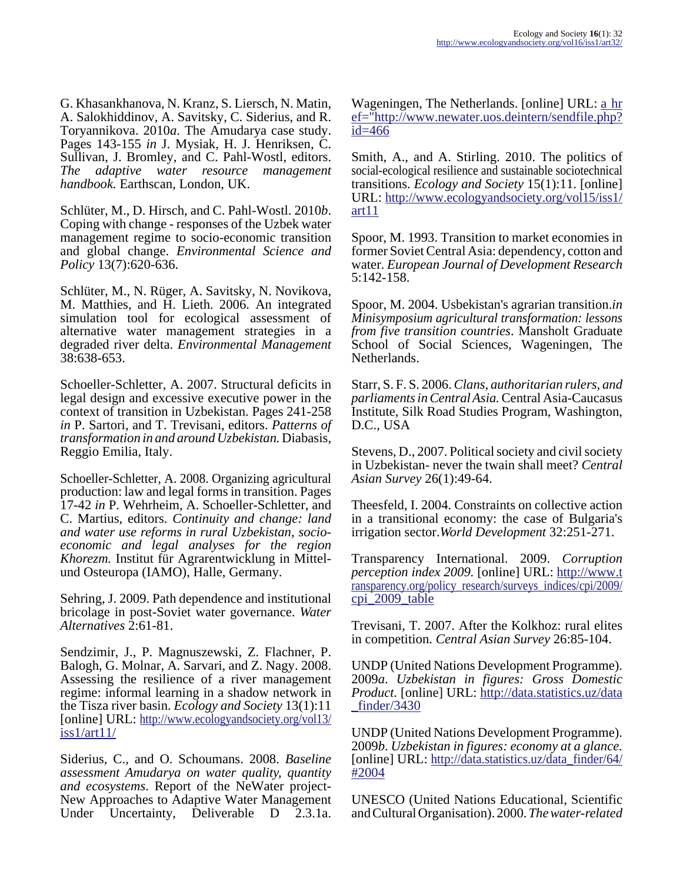G. Khasankhanova, N. Kranz, S. Liersch, N. Matin, A. Salokhiddinov, A. Savitsky, C. Siderius, and R. Toryannikova. 2010*a*. The Amudarya case study. Pages 143-155 *in* J. Mysiak, H. J. Henriksen, C. Sullivan, J. Bromley, and C. Pahl-Wostl, editors.<br>The adaptive water resource management *The adaptive water resource management handbook.* Earthscan, London, UK.

Schlüter, M., D. Hirsch, and C. Pahl-Wostl. 2010*b*. Coping with change - responses of the Uzbek water management regime to socio-economic transition and global change. *Environmental Science and Policy* 13(7):620-636.

Schlüter, M., N. Rüger, A. Savitsky, N. Novikova, M. Matthies, and H. Lieth. 2006. An integrated simulation tool for ecological assessment of alternative water management strategies in a degraded river delta. *Environmental Management* 38:638-653.

Schoeller-Schletter, A. 2007. Structural deficits in legal design and excessive executive power in the context of transition in Uzbekistan. Pages 241-258 *in* P. Sartori, and T. Trevisani, editors. *Patterns of transformation in and around Uzbekistan.* Diabasis, Reggio Emilia, Italy.

Schoeller-Schletter, A. 2008. Organizing agricultural production: law and legal forms in transition. Pages 17-42 *in* P. Wehrheim, A. Schoeller-Schletter, and C. Martius, editors. *Continuity and change: land and water use reforms in rural Uzbekistan, socioeconomic and legal analyses for the region Khorezm.* Institut für Agrarentwicklung in Mittelund Osteuropa (IAMO), Halle, Germany.

Sehring, J. 2009. Path dependence and institutional bricolage in post-Soviet water governance. *Water Alternatives* 2:61-81.

Sendzimir, J., P. Magnuszewski, Z. Flachner, P. Balogh, G. Molnar, A. Sarvari, and Z. Nagy. 2008. Assessing the resilience of a river management regime: informal learning in a shadow network in the Tisza river basin. *Ecology and Society* 13(1):11 [online] URL: [http://www.ecologyandsociety.org/vol13/](http://www.ecologyandsociety.org/vol13/iss1/art11/) [iss1/art11/](http://www.ecologyandsociety.org/vol13/iss1/art11/)

Siderius, C., and O. Schoumans. 2008. *Baseline assessment Amudarya on water quality, quantity and ecosystems*. Report of the NeWater project-New Approaches to Adaptive Water Management Under Uncertainty, Deliverable D 2.3.1a.

Wageningen, The Netherlands. [online] URL: [a hr](http://www.newater.uos.de/intern/sendfile.php?id=466) ef="http://www.newater.uos.deintern/sendfile.php?  $id=466$ 

Smith, A., and A. Stirling. 2010. The politics of social-ecological resilience and sustainable sociotechnical transitions. *Ecology and Society* 15(1):11. [online] URL: [http://www.ecologyandsociety.org/vol15/iss1/](http://www.ecologyandsociety.org/vol15/iss1/art11) [art11](http://www.ecologyandsociety.org/vol15/iss1/art11)

Spoor, M. 1993. Transition to market economies in former Soviet Central Asia: dependency, cotton and water. *European Journal of Development Research* 5:142-158.

Spoor, M. 2004. Usbekistan's agrarian transition.*in Minisymposium agricultural transformation: lessons from five transition countries*. Mansholt Graduate School of Social Sciences, Wageningen, The Netherlands.

Starr, S. F. S. 2006. *Clans, authoritarian rulers, and parliaments in Central Asia.* Central Asia-Caucasus Institute, Silk Road Studies Program, Washington, D.C., USA

Stevens, D., 2007. Political society and civil society in Uzbekistan- never the twain shall meet? *Central Asian Survey* 26(1):49-64.

Theesfeld, I. 2004. Constraints on collective action in a transitional economy: the case of Bulgaria's irrigation sector.*World Development* 32:251-271.

Transparency International. 2009. *Corruption perception index 2009.* [online] URL: [http://www.t](http://www.transparency.org/policy_research/surveys_indices/cpi/2009/cpi_2009_table) ransparency.org/policy\_research/surveys\_indices/cpi/2009/ [cpi\\_2009\\_table](http://www.transparency.org/policy_research/surveys_indices/cpi/2009/cpi_2009_table)

Trevisani, T. 2007. After the Kolkhoz: rural elites in competition. *Central Asian Survey* 26:85-104.

UNDP (United Nations Development Programme). 2009*a*. *Uzbekistan in figures: Gross Domestic Product.* [online] URL: [http://data.statistics.uz/data](http://data.statistics.uz/data_finder/3430/) [\\_finder/3430](http://data.statistics.uz/data_finder/3430/)

UNDP (United Nations Development Programme). 2009*b*. *Uzbekistan in figures: economy at a glance.* [online] URL: [http://data.statistics.uz/data\\_finder/64/](http://data.statistics.uz/data_finder/64/#2004/) [#2004](http://data.statistics.uz/data_finder/64/#2004/)

UNESCO (United Nations Educational, Scientific and Cultural Organisation). 2000. *The water-related*